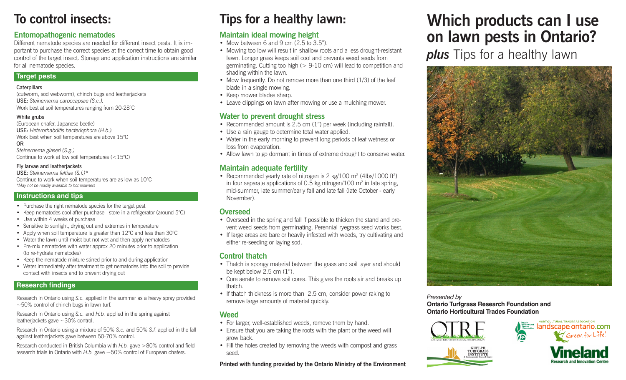# **To control insects:**

## **Entomopathogenic nematodes**

Different nematode species are needed for different insect pests. It is important to purchase the correct species at the correct time to obtain good control of the target insect. Storage and application instructions are similar for all nematode species.

#### **Target pests**

#### **Caterpillars**

(cutworm, sod webworm), chinch bugs and leatherjackets USE: *Steinernema carpocapsae (S.c.).*  Work best at soil temperatures ranging from 20-28°C

#### White grubs

(European chafer, Japanese beetle) USE: *Heterorhabditis bacteriophora (H.b.).*  Work best when soil temperatures are above 15°C OR

*Steinernema glaseri (S.g.)* Continue to work at low soil temperatures (<15°C)

#### Fly larvae and leatherjackets

USE: *Steinernema feltiae (S.f.)\** Continue to work when soil temperatures are as low as 10°C *\*May not be readily available to homeowners*

## **Instructions and tips**

- Purchase the right nematode species for the target pest
- Keep nematodes cool after purchase store in a refrigerator (around 5°C)
- Use within 4 weeks of purchase
- Sensitive to sunlight, drying out and extremes in temperature
- Apply when soil temperature is greater than  $12^{\circ}$ C and less than  $30^{\circ}$ C
- Water the lawn until moist but not wet and then apply nematodes
- Pre-mix nematodes with water approx 20 minutes prior to application (to re-hydrate nematodes)
- Keep the nematode mixture stirred prior to and during application
- Water immediately after treatment to get nematodes into the soil to provide contact with insects and to prevent drying out

## **Research findings**

Research in Ontario using *S.c.* applied in the summer as a heavy spray provided  $\sim$  50% control of chinch bugs in lawn turf.

Research in Ontario using *S.c.* and *H.b.* applied in the spring against leatherjackets gave ~30% control.

Research in Ontario using a mixture of 50% *S.c.* and 50% *S.f.* applied in the fall against leatherjackets gave between 50-70% control.

Research conducted in British Columbia with *H.b.* gave >80% control and field research trials in Ontario with *H.b.* gave ~50% control of European chafers.

# **Tips for a healthy lawn:**

## **Maintain ideal mowing height**

- Mow between 6 and 9 cm  $(2.5 \text{ to } 3.5$ ").
- Mowing too low will result in shallow roots and a less drought-resistant lawn. Longer grass keeps soil cool and prevents weed seeds from germinating. Cutting too high (> 9-10 cm) will lead to competition and shading within the lawn.
- Mow frequently. Do not remove more than one third  $(1/3)$  of the leaf blade in a single mowing.
- Keep mower blades sharp.
- Leave clippings on lawn after mowing or use a mulching mower.

## **Water to prevent drought stress**

- Recommended amount is 2.5 cm (1") per week (including rainfall).
- Use a rain gauge to determine total water applied.
- Water in the early morning to prevent long periods of leaf wetness or loss from evaporation.
- Allow lawn to go dormant in times of extreme drought to conserve water.

## **Maintain adequate fertility**

• Recommended yearly rate of nitrogen is 2 kg/100 m<sup>2</sup> (4lbs/1000 ft<sup>2</sup>) in four separate applications of 0.5 kg nitrogen/100  $m<sup>2</sup>$  in late spring, mid-summer, late summer/early fall and late fall (late October - early November).

## **Overseed**

- Overseed in the spring and fall if possible to thicken the stand and prevent weed seeds from germinating. Perennial ryegrass seed works best.
- If large areas are bare or heavily infested with weeds, try cultivating and either re-seeding or laying sod.

## **Control thatch**

- Thatch is spongy material between the grass and soil layer and should be kept below 2.5 cm (1").
- Core aerate to remove soil cores. This gives the roots air and breaks up thatch.
- If thatch thickness is more than 2.5 cm, consider power raking to remove large amounts of material quickly.

## **Weed**

- For larger, well-established weeds, remove them by hand.
- Ensure that you are taking the roots with the plant or the weed will grow back.
- Fill the holes created by removing the weeds with compost and grass seed.

### **Printed with funding provided by the Ontario Ministry of the Environment**

# **Which products can I use on lawn pests in Ontario?**

**plus** Tips for a healthy lawn



*Presented by*  **Ontario Turfgrass Research Foundation and Ontario Horticultural Trades Foundation**